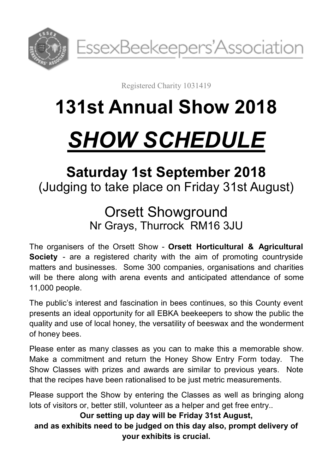

Registered Charity 1031419

## **131st Annual Show 2018**

# *SHOW SCHEDULE*

## **Saturday 1st September 2018** (Judging to take place on Friday 31st August)

## Orsett Showground Nr Grays, Thurrock RM16 3JU

The organisers of the Orsett Show - **Orsett Horticultural & Agricultural Society** - are a registered charity with the aim of promoting countryside matters and businesses. Some 300 companies, organisations and charities will be there along with arena events and anticipated attendance of some 11,000 people.

The public's interest and fascination in bees continues, so this County event presents an ideal opportunity for all EBKA beekeepers to show the public the quality and use of local honey, the versatility of beeswax and the wonderment of honey bees.

Please enter as many classes as you can to make this a memorable show. Make a commitment and return the Honey Show Entry Form today. The Show Classes with prizes and awards are similar to previous years. Note that the recipes have been rationalised to be just metric measurements.

Please support the Show by entering the Classes as well as bringing along lots of visitors or, better still, volunteer as a helper and get free entry..

**Our setting up day will be Friday 31st August,** 

**and as exhibits need to be judged on this day also, prompt delivery of your exhibits is crucial.**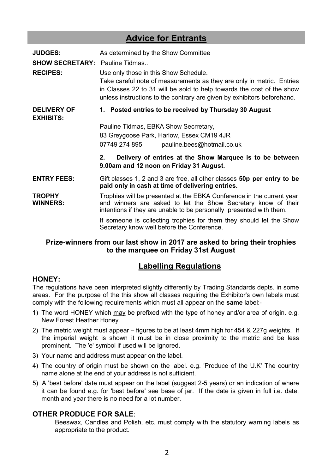#### **Advice for Entrants**

| <b>JUDGES:</b>                         | As determined by the Show Committee                                                                                                                                                                           |  |  |
|----------------------------------------|---------------------------------------------------------------------------------------------------------------------------------------------------------------------------------------------------------------|--|--|
| <b>SHOW SECRETARY:</b> Pauline Tidmas  |                                                                                                                                                                                                               |  |  |
| <b>RECIPES:</b>                        | Use only those in this Show Schedule.<br>Take careful note of measurements as they are only in metric. Entries                                                                                                |  |  |
|                                        | in Classes 22 to 31 will be sold to help towards the cost of the show<br>unless instructions to the contrary are given by exhibitors beforehand.                                                              |  |  |
| <b>DELIVERY OF</b><br><b>EXHIBITS:</b> | 1. Posted entries to be received by Thursday 30 August                                                                                                                                                        |  |  |
|                                        | Pauline Tidmas, EBKA Show Secrretary,                                                                                                                                                                         |  |  |
|                                        | 83 Greygoose Park, Harlow, Essex CM19 4JR                                                                                                                                                                     |  |  |
|                                        | 07749 274 895<br>pauline.bees@hotmail.co.uk                                                                                                                                                                   |  |  |
|                                        | Delivery of entries at the Show Marquee is to be between<br>$2_{-}$<br>9.00am and 12 noon on Friday 31 August.                                                                                                |  |  |
| <b>ENTRY FEES:</b>                     | Gift classes 1, 2 and 3 are free, all other classes <b>50p per entry to be</b><br>paid only in cash at time of delivering entries.                                                                            |  |  |
| <b>TROPHY</b><br><b>WINNERS:</b>       | Trophies will be presented at the EBKA Conference in the current year<br>and winners are asked to let the Show Secretary know of their<br>intentions if they are unable to be personally presented with them. |  |  |
|                                        | If someone is collecting trophies for them they should let the Show<br>Secretary know well before the Conference.                                                                                             |  |  |

#### **Prize-winners from our last show in 2017 are asked to bring their trophies to the marquee on Friday 31st August**

#### **Labelling Regulations**

#### **HONEY:**

The regulations have been interpreted slightly differently by Trading Standards depts. in some areas. For the purpose of the this show all classes requiring the Exhibitor's own labels must comply with the following requirements which must all appear on the **same** label:-

- 1) The word HONEY which may be prefixed with the type of honey and/or area of origin. e.g. New Forest Heather Honey.
- 2) The metric weight must appear figures to be at least 4mm high for 454 & 227g weights. If the imperial weight is shown it must be in close proximity to the metric and be less prominent. The 'e' symbol if used will be ignored.
- 3) Your name and address must appear on the label.
- 4) The country of origin must be shown on the label. e.g. 'Produce of the U.K' The country name alone at the end of your address is not sufficient.
- 5) A 'best before' date must appear on the label (suggest 2-5 years) or an indication of where it can be found e.g. for 'best before' see base of jar. If the date is given in full i.e. date, month and year there is no need for a lot number.

#### **OTHER PRODUCE FOR SALE**:

Beeswax, Candles and Polish, etc. must comply with the statutory warning labels as appropriate to the product.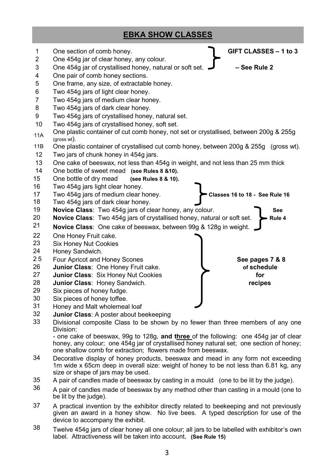#### **EBKA SHOW CLASSES**



Divisional composite Class to be shown by no fewer than three members of any one Division:

- one cake of beeswax, 99g to 128g, **and three** of the following: one 454g jar of clear honey, any colour; one 454g jar of crystallised honey natural set; one section of honey; one shallow comb for extraction; flowers made from beeswax.

- Decorative display of honey products, beeswax and mead in any form not exceeding 1m wide x 65cm deep in overall size: weight of honey to be not less than 6.81 kg, any size or shape of jars may be used.
- A pair of candles made of beeswax by casting in a mould (one to be lit by the judge).
- A pair of candles made of beeswax by any method other than casting in a mould (one to be lit by the judge).
- A practical invention by the exhibitor directly related to beekeeping and not previously given an award in a honey show. No live bees. A typed description for use of the device to accompany the exhibit.
- Twelve 454g jars of clear honey all one colour; all jars to be labelled with exhibitor's own label. Attractiveness will be taken into account**. (See Rule 15)**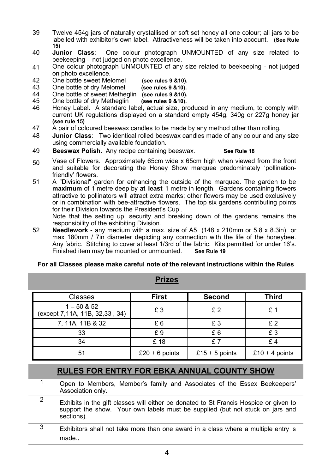- 39 Twelve 454g jars of naturally crystallised or soft set honey all one colour; all jars to be labelled with exhibitor's own label. Attractiveness will be taken into account. **(See Rule 15)**
- 40 **Junior Class**: One colour photograph UNMOUNTED of any size related to beekeeping – not judged on photo excellence.
- 41 One colour photograph UNMOUNTED of any size related to beekeeping - not judged on photo excellence.
- 42 One bottle sweet Melomel **(see rules 9 &10).**
- 43 **One bottle of dry Melomel**
- 44 One bottle of sweet Metheglin **(see rules 9 &10).**
- 45 **One bottle of dry Metheglin**
- 46 Honey Label. A standard label, actual size, produced in any medium, to comply with current UK regulations displayed on a standard empty 454g, 340g or 227g honey jar **(see rule 15)**
- 47 A pair of coloured beeswax candles to be made by any method other than rolling.
- 48 **Junior Class**: Two identical rolled beeswax candles made of any colour and any size using commercially available foundation.
- 49 **Beeswax Polish**. Any recipe containing beeswax. **See Rule 18**
- 50 Vase of Flowers. Approximately 65cm wide x 65cm high when viewed from the front and suitable for decorating the Honey Show marquee predominately 'pollinationfriendly' flowers.
- 51 A "Divisional" garden for enhancing the outside of the marquee. The garden to be **maximum** of 1 metre deep by **at least** 1 metre in length. Gardens containing flowers attractive to pollinators will attract extra marks; other flowers may be used exclusively or in combination with bee-attractive flowers. The top six gardens contributing points for their Division towards the President's Cup..

Note that the setting up, security and breaking down of the gardens remains the responsibility of the exhibiting Division.

52 **Needlework** - any medium with a max. size of A5 (148 x 210mm or 5.8 x 8.3in) or max 180mm / 7in diameter depicting any connection with the life of the honeybee. Any fabric. Stitching to cover at least 1/3rd of the fabric. Kits permitted for under 16's.<br>Finished item may be mounted or unmounted. See Rule 19 Finished item may be mounted or unmounted.

#### **For all Classes please make careful note of the relevant instructions within the Rules**

| Classes                                         | <b>First</b>   | <b>Second</b>  | <b>Third</b>   |
|-------------------------------------------------|----------------|----------------|----------------|
| $1 - 50$ & 52<br>(except 7,11A, 11B, 32,33, 34) | £З             | £2             | £ 1            |
| 7, 11A, 11B & 32                                | £6             | £3             | £2             |
| 33                                              | £9             | £6             | £3             |
| 34                                              | £18            | f7             | f4             |
| 51                                              | £20 + 6 points | £15 + 5 points | £10 + 4 points |

#### **Prizes**

#### **RULES FOR ENTRY FOR EBKA ANNUAL COUNTY SHOW**

- 1 Open to Members, Member's family and Associates of the Essex Beekeepers' Association only.
- <sup>2</sup> Exhibits in the gift classes will either be donated to St Francis Hospice or given to support the show. Your own labels must be supplied (but not stuck on jars and sections).
- $\frac{3}{3}$  Exhibitors shall not take more than one award in a class where a multiple entry is made..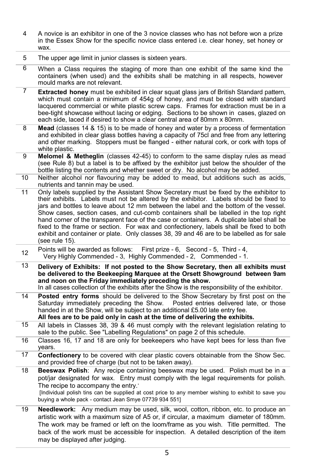- 4 A novice is an exhibitor in one of the 3 novice classes who has not before won a prize in the Essex Show for the specific novice class entered i.e. clear honey, set honey or wax.
- 5 The upper age limit in junior classes is sixteen years.
- 6 When a Class requires the staging of more than one exhibit of the same kind the containers (when used) and the exhibits shall be matching in all respects, however mould marks are not relevant.
- 7 **Extracted honey** must be exhibited in clear squat glass jars of British Standard pattern, which must contain a minimum of 454g of honey, and must be closed with standard lacquered commercial or white plastic screw caps. Frames for extraction must be in a bee-tight showcase without lacing or edging. Sections to be shown in cases, glazed on each side, laced if desired to show a clear central area of 80mm x 80mm.
- 8 **Mead** (classes 14 & 15) is to be made of honey and water by a process of fermentation and exhibited in clear glass bottles having a capacity of 75cl and free from any lettering and other marking. Stoppers must be flanged - either natural cork, or cork with tops of white plastic.
- 9 **Melomel & Metheglin** (classes 42-45) to conform to the same display rules as mead (see Rule 8) but a label is to be affixed by the exhibitor just below the shoulder of the bottle listing the contents and whether sweet or dry. No alcohol may be added.
- 10 Neither alcohol nor flavouring may be added to mead, but additions such as acids, nutrients and tannin may be used.
- 11 Only labels supplied by the Assistant Show Secretary must be fixed by the exhibitor to their exhibits. Labels must not be altered by the exhibitor. Labels should be fixed to jars and bottles to leave about 12 mm between the label and the bottom of the vessel. Show cases, section cases, and cut-comb containers shall be labelled in the top right hand corner of the transparent face of the case or containers. A duplicate label shall be fixed to the frame or section. For wax and confectionery, labels shall be fixed to both exhibit and container or plate. Only classes 38, 39 and 46 are to be labelled as for sale (see rule 15).
- <sup>12</sup> Points will be awarded as follows: First prize 6, Second 5, Third 4, Very Highly Commended 3, Highly Commended 2, Commended 1.
- 13 **Delivery of Exhibits: If not posted to the Show Secretary, then all exhibits must be delivered to the Beekeeping Marquee at the Orsett Showground between 9am and noon on the Friday immediately preceding the show.** In all cases collection of the exhibits after the Show is the responsibility of the exhibitor.
- 14 **Posted entry forms** should be delivered to the Show Secretary by first post on the Saturday immediately preceding the Show. Posted entries delivered late, or those handed in at the Show, will be subject to an additional £5.00 late entry fee. **All fees are to be paid only in cash at the time of delivering the exhibits.**
- 15 All labels in Classes 38, 39 & 46 must comply with the relevant legislation relating to sale to the public. See "Labelling Regulations" on page 2 of this schedule.
- 16 Classes 16, 17 and 18 are only for beekeepers who have kept bees for less than five years.
- 17 **Confectionery** to be covered with clear plastic covers obtainable from the Show Sec. and provided free of charge (but not to be taken away).
- 18 **Beeswax Polish**: Any recipe containing beeswax may be used. Polish must be in a pot/jar designated for wax. Entry must comply with the legal requirements for polish. The recipe to accompany the entry.'

[Individual polish tins can be supplied at cost price to any member wishing to exhibit to save you buying a whole pack - contact Jean Smye 07739 934 551]

19 **Needlework:** Any medium may be used, silk, wool, cotton, ribbon, etc. to produce an artistic work with a maximum size of A5 or, if circular, a maximum diameter of 180mm. The work may be framed or left on the loom/frame as you wish. Title permitted. The back of the work must be accessible for inspection. A detailed description of the item may be displayed after judging.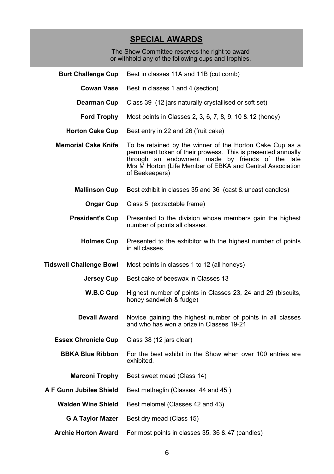#### **SPECIAL AWARDS**

The Show Committee reserves the right to award or withhold any of the following cups and trophies.

| <b>Burt Challenge Cup</b>      | Best in classes 11A and 11B (cut comb)                                                                                                                                                                                                                      |
|--------------------------------|-------------------------------------------------------------------------------------------------------------------------------------------------------------------------------------------------------------------------------------------------------------|
| <b>Cowan Vase</b>              | Best in classes 1 and 4 (section)                                                                                                                                                                                                                           |
| Dearman Cup                    | Class 39 (12 jars naturally crystallised or soft set)                                                                                                                                                                                                       |
| <b>Ford Trophy</b>             | Most points in Classes 2, 3, 6, 7, 8, 9, 10 & 12 (honey)                                                                                                                                                                                                    |
| <b>Horton Cake Cup</b>         | Best entry in 22 and 26 (fruit cake)                                                                                                                                                                                                                        |
| <b>Memorial Cake Knife</b>     | To be retained by the winner of the Horton Cake Cup as a<br>permanent token of their prowess. This is presented annually<br>through an endowment made by friends of the late<br>Mrs M Horton (Life Member of EBKA and Central Association<br>of Beekeepers) |
| <b>Mallinson Cup</b>           | Best exhibit in classes 35 and 36 (cast & uncast candles)                                                                                                                                                                                                   |
| Ongar Cup                      | Class 5 (extractable frame)                                                                                                                                                                                                                                 |
| <b>President's Cup</b>         | Presented to the division whose members gain the highest<br>number of points all classes.                                                                                                                                                                   |
| <b>Holmes Cup</b>              | Presented to the exhibitor with the highest number of points<br>in all classes.                                                                                                                                                                             |
| <b>Tidswell Challenge Bowl</b> | Most points in classes 1 to 12 (all honeys)                                                                                                                                                                                                                 |
| Jersey Cup                     | Best cake of beeswax in Classes 13                                                                                                                                                                                                                          |
| W.B.C Cup                      | Highest number of points in Classes 23, 24 and 29 (biscuits,<br>honey sandwich & fudge)                                                                                                                                                                     |
| <b>Devall Award</b>            | Novice gaining the highest number of points in all classes<br>and who has won a prize in Classes 19-21                                                                                                                                                      |
| <b>Essex Chronicle Cup</b>     | Class 38 (12 jars clear)                                                                                                                                                                                                                                    |
| <b>BBKA Blue Ribbon</b>        | For the best exhibit in the Show when over 100 entries are<br>exhibited.                                                                                                                                                                                    |
| <b>Marconi Trophy</b>          | Best sweet mead (Class 14)                                                                                                                                                                                                                                  |
| A F Gunn Jubilee Shield        | Best metheglin (Classes 44 and 45)                                                                                                                                                                                                                          |
| <b>Walden Wine Shield</b>      | Best melomel (Classes 42 and 43)                                                                                                                                                                                                                            |
| <b>G A Taylor Mazer</b>        | Best dry mead (Class 15)                                                                                                                                                                                                                                    |
| <b>Archie Horton Award</b>     | For most points in classes 35, 36 & 47 (candles)                                                                                                                                                                                                            |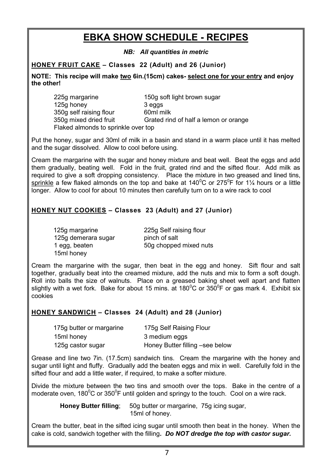### **EBKA SHOW SCHEDULE - RECIPES**

*NB: All quantities in metric*

**HONEY FRUIT CAKE – Classes 22 (Adult) and 26 (Junior)**

**NOTE: This recipe will make two 6in.(15cm) cakes- select one for your entry and enjoy the other!**

| 225g margarine                      | 150g soft light brown sugar           |
|-------------------------------------|---------------------------------------|
| 125g honey                          | 3 eggs                                |
| 350g self raising flour             | 60ml milk                             |
| 350g mixed dried fruit              | Grated rind of half a lemon or orange |
| Flaked almonds to sprinkle over top |                                       |

Put the honey, sugar and 30ml of milk in a basin and stand in a warm place until it has melted and the sugar dissolved. Allow to cool before using.

Cream the margarine with the sugar and honey mixture and beat well. Beat the eggs and add them gradually, beating well. Fold in the fruit, grated rind and the sifted flour. Add milk as required to give a soft dropping consistency. Place the mixture in two greased and lined tins, sprinkle a few flaked almonds on the top and bake at 140 $^{\circ}$ C or 275 $^{\circ}$ F for 1¼ hours or a little longer. Allow to cool for about 10 minutes then carefully turn on to a wire rack to cool

#### **HONEY NUT COOKIES – Classes 23 (Adult) and 27 (Junior)**

| 125g margarine      |  |
|---------------------|--|
| 125g demerara sugar |  |
| 1 egg, beaten       |  |
| 15ml honey          |  |

225g Self raising flour pinch of salt 50g chopped mixed nuts

Cream the margarine with the sugar, then beat in the egg and honey. Sift flour and salt together, gradually beat into the creamed mixture, add the nuts and mix to form a soft dough. Roll into balls the size of walnuts. Place on a greased baking sheet well apart and flatten slightly with a wet fork. Bake for about 15 mins. at 180<sup>o</sup>C or 350<sup>o</sup>F or gas mark 4. Exhibit six cookies

#### **HONEY SANDWICH – Classes 24 (Adult) and 28 (Junior)**

| 175g butter or margarine | 175g Self Raising Flour         |
|--------------------------|---------------------------------|
| 15ml honey               | 3 medium eggs                   |
| 125g castor sugar        | Honey Butter filling -see below |

Grease and line two 7in. (17.5cm) sandwich tins. Cream the margarine with the honey and sugar until light and fluffy. Gradually add the beaten eggs and mix in well. Carefully fold in the sifted flour and add a little water, if required, to make a softer mixture.

Divide the mixture between the two tins and smooth over the tops. Bake in the centre of a moderate oven, 180 $\rm{^0C}$  or 350 $\rm{^0F}$  until golden and springy to the touch. Cool on a wire rack.

> **Honey Butter filling**; 50g butter or margarine, 75g icing sugar, 15ml of honey.

Cream the butter, beat in the sifted icing sugar until smooth then beat in the honey. When the cake is cold, sandwich together with the filling*. Do NOT dredge the top with castor sugar.*